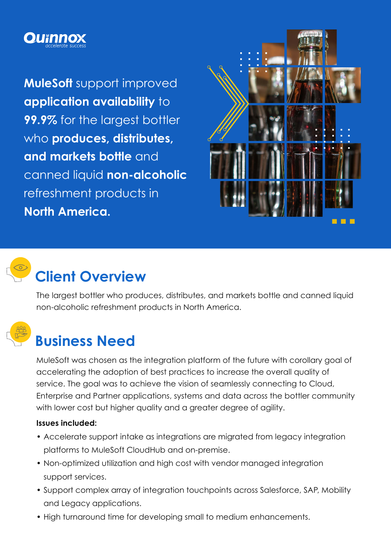

**MuleSoft** support improved **application availability** to **99.9%** for the largest bottler who **produces, distributes, and markets bottle** and canned liquid **non-alcoholic**  refreshment products in **North America.**





# **Client Overview**

The largest bottler who produces, distributes, and markets bottle and canned liquid non-alcoholic refreshment products in North America.



## **Business Need**

MuleSoft was chosen as the integration platform of the future with corollary goal of accelerating the adoption of best practices to increase the overall quality of service. The goal was to achieve the vision of seamlessly connecting to Cloud, Enterprise and Partner applications, systems and data across the bottler community with lower cost but higher quality and a greater degree of agility.

#### **Issues included:**

- Accelerate support intake as integrations are migrated from legacy integration platforms to MuleSoft CloudHub and on-premise.
- Non-optimized utilization and high cost with vendor managed integration support services.
- Support complex array of integration touchpoints across Salesforce, SAP, Mobility and Legacy applications.
- High turnaround time for developing small to medium enhancements.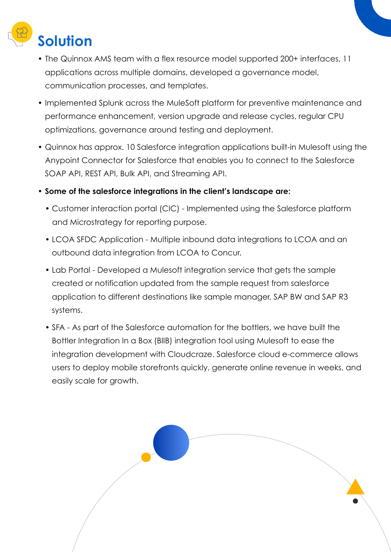

- The Quinnox AMS team with a flex resource model supported 200+ interfaces, 11 applications across multiple domains, developed a governance model, communication processes, and templates.
- Implemented Splunk across the MuleSoft platform for preventive maintenance and performance enhancement, version upgrade and release cycles, regular CPU optimizations, governance around testing and deployment.
- Quinnox has approx. 10 Salesforce integration applications built-in Mulesoft using the Anypoint Connector for Salesforce that enables you to connect to the Salesforce SOAP API, REST API, Bulk API, and Streaming API.
- **Some of the salesforce integrations in the client's landscape are:**
	- Customer interaction portal (CIC) Implemented using the Salesforce platform and Microstrategy for reporting purpose.
	- LCOA SFDC Application Multiple inbound data integrations to LCOA and an • outbound data integration from LCOA to Concur.
	- Lab Portal Developed a Mulesoft integration service that gets the sample • created or notification updated from the sample request from salesforce • application to different destinations like sample manager, SAP BW and SAP R3 • systems.
	- SFA As part of the Salesforce automation for the bottlers, we have built the • Bottler Integration In a Box (BIIB) integration tool using Mulesoft to ease the • integration development with Cloudcraze. Salesforce cloud e-commerce allows users to deploy mobile storefronts quickly, generate online revenue in weeks, and • easily scale for growth.